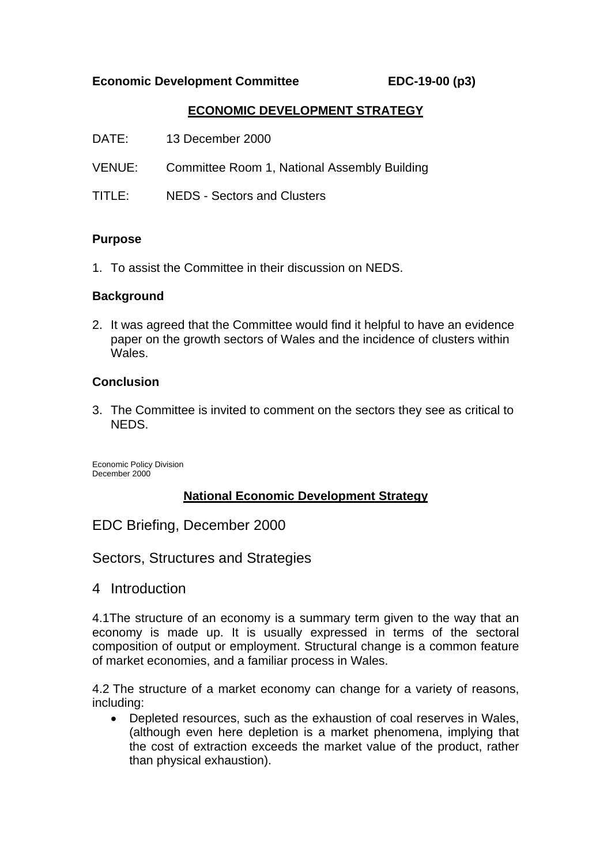### **Economic Development Committee EDC-19-00 (p3)**

## **ECONOMIC DEVELOPMENT STRATEGY**

| DATE:  | 13 December 2000                                    |
|--------|-----------------------------------------------------|
|        | VENUE: Committee Room 1, National Assembly Building |
| TITLE: | <b>NEDS - Sectors and Clusters</b>                  |

#### **Purpose**

1. To assist the Committee in their discussion on NEDS.

### **Background**

2. It was agreed that the Committee would find it helpful to have an evidence paper on the growth sectors of Wales and the incidence of clusters within Wales.

### **Conclusion**

3. The Committee is invited to comment on the sectors they see as critical to NEDS.

Economic Policy Division December 2000

## **National Economic Development Strategy**

EDC Briefing, December 2000

Sectors, Structures and Strategies

4 Introduction

4.1The structure of an economy is a summary term given to the way that an economy is made up. It is usually expressed in terms of the sectoral composition of output or employment. Structural change is a common feature of market economies, and a familiar process in Wales.

4.2 The structure of a market economy can change for a variety of reasons, including:

• Depleted resources, such as the exhaustion of coal reserves in Wales, (although even here depletion is a market phenomena, implying that the cost of extraction exceeds the market value of the product, rather than physical exhaustion).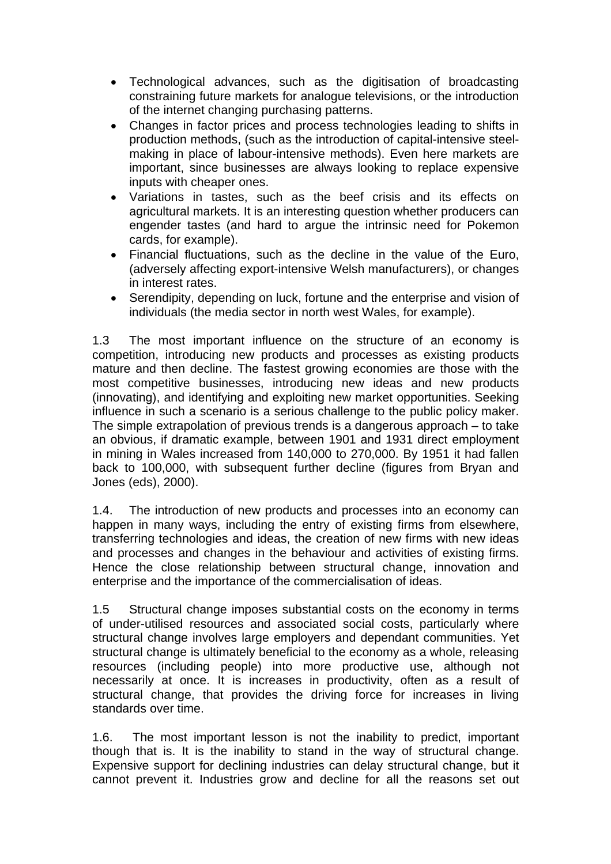- Technological advances, such as the digitisation of broadcasting constraining future markets for analogue televisions, or the introduction of the internet changing purchasing patterns.
- Changes in factor prices and process technologies leading to shifts in production methods, (such as the introduction of capital-intensive steelmaking in place of labour-intensive methods). Even here markets are important, since businesses are always looking to replace expensive inputs with cheaper ones.
- Variations in tastes, such as the beef crisis and its effects on agricultural markets. It is an interesting question whether producers can engender tastes (and hard to argue the intrinsic need for Pokemon cards, for example).
- Financial fluctuations, such as the decline in the value of the Euro, (adversely affecting export-intensive Welsh manufacturers), or changes in interest rates.
- Serendipity, depending on luck, fortune and the enterprise and vision of individuals (the media sector in north west Wales, for example).

1.3 The most important influence on the structure of an economy is competition, introducing new products and processes as existing products mature and then decline. The fastest growing economies are those with the most competitive businesses, introducing new ideas and new products (innovating), and identifying and exploiting new market opportunities. Seeking influence in such a scenario is a serious challenge to the public policy maker. The simple extrapolation of previous trends is a dangerous approach – to take an obvious, if dramatic example, between 1901 and 1931 direct employment in mining in Wales increased from 140,000 to 270,000. By 1951 it had fallen back to 100,000, with subsequent further decline (figures from Bryan and Jones (eds), 2000).

1.4. The introduction of new products and processes into an economy can happen in many ways, including the entry of existing firms from elsewhere, transferring technologies and ideas, the creation of new firms with new ideas and processes and changes in the behaviour and activities of existing firms. Hence the close relationship between structural change, innovation and enterprise and the importance of the commercialisation of ideas.

1.5 Structural change imposes substantial costs on the economy in terms of under-utilised resources and associated social costs, particularly where structural change involves large employers and dependant communities. Yet structural change is ultimately beneficial to the economy as a whole, releasing resources (including people) into more productive use, although not necessarily at once. It is increases in productivity, often as a result of structural change, that provides the driving force for increases in living standards over time.

1.6. The most important lesson is not the inability to predict, important though that is. It is the inability to stand in the way of structural change. Expensive support for declining industries can delay structural change, but it cannot prevent it. Industries grow and decline for all the reasons set out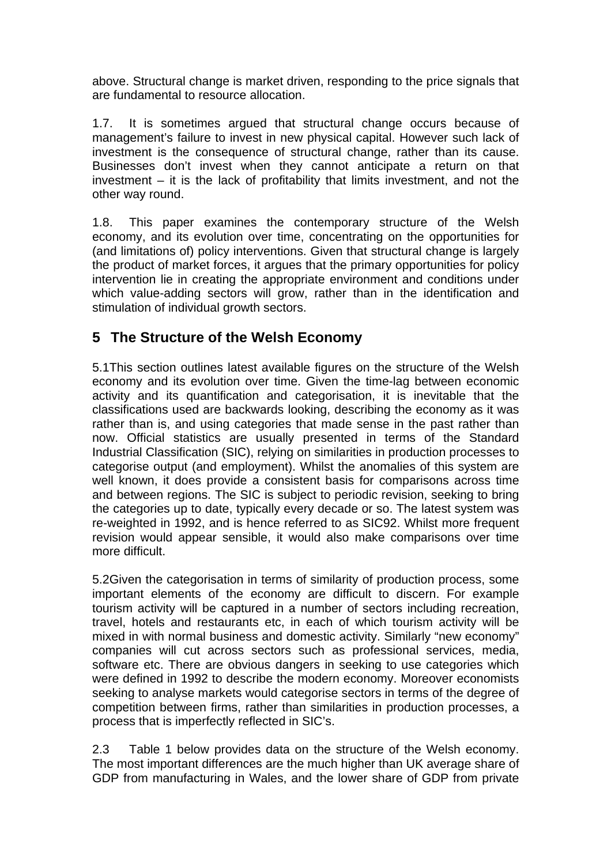above. Structural change is market driven, responding to the price signals that are fundamental to resource allocation.

1.7. It is sometimes argued that structural change occurs because of management's failure to invest in new physical capital. However such lack of investment is the consequence of structural change, rather than its cause. Businesses don't invest when they cannot anticipate a return on that investment – it is the lack of profitability that limits investment, and not the other way round.

1.8. This paper examines the contemporary structure of the Welsh economy, and its evolution over time, concentrating on the opportunities for (and limitations of) policy interventions. Given that structural change is largely the product of market forces, it argues that the primary opportunities for policy intervention lie in creating the appropriate environment and conditions under which value-adding sectors will grow, rather than in the identification and stimulation of individual growth sectors.

## **5 The Structure of the Welsh Economy**

5.1This section outlines latest available figures on the structure of the Welsh economy and its evolution over time. Given the time-lag between economic activity and its quantification and categorisation, it is inevitable that the classifications used are backwards looking, describing the economy as it was rather than is, and using categories that made sense in the past rather than now. Official statistics are usually presented in terms of the Standard Industrial Classification (SIC), relying on similarities in production processes to categorise output (and employment). Whilst the anomalies of this system are well known, it does provide a consistent basis for comparisons across time and between regions. The SIC is subject to periodic revision, seeking to bring the categories up to date, typically every decade or so. The latest system was re-weighted in 1992, and is hence referred to as SIC92. Whilst more frequent revision would appear sensible, it would also make comparisons over time more difficult.

5.2Given the categorisation in terms of similarity of production process, some important elements of the economy are difficult to discern. For example tourism activity will be captured in a number of sectors including recreation, travel, hotels and restaurants etc, in each of which tourism activity will be mixed in with normal business and domestic activity. Similarly "new economy" companies will cut across sectors such as professional services, media, software etc. There are obvious dangers in seeking to use categories which were defined in 1992 to describe the modern economy. Moreover economists seeking to analyse markets would categorise sectors in terms of the degree of competition between firms, rather than similarities in production processes, a process that is imperfectly reflected in SIC's.

2.3 Table 1 below provides data on the structure of the Welsh economy. The most important differences are the much higher than UK average share of GDP from manufacturing in Wales, and the lower share of GDP from private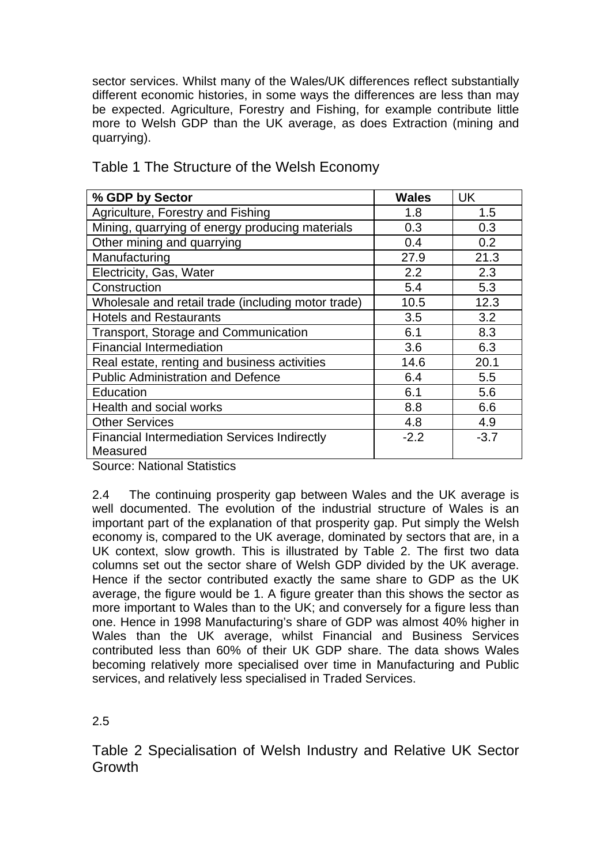sector services. Whilst many of the Wales/UK differences reflect substantially different economic histories, in some ways the differences are less than may be expected. Agriculture, Forestry and Fishing, for example contribute little more to Welsh GDP than the UK average, as does Extraction (mining and quarrying).

| % GDP by Sector                                                 | <b>Wales</b> | UK     |
|-----------------------------------------------------------------|--------------|--------|
| Agriculture, Forestry and Fishing                               | 1.8          | 1.5    |
| Mining, quarrying of energy producing materials                 | 0.3          | 0.3    |
| Other mining and quarrying                                      | 0.4          | 0.2    |
| Manufacturing                                                   | 27.9         | 21.3   |
| Electricity, Gas, Water                                         | 2.2          | 2.3    |
| Construction                                                    | 5.4          | 5.3    |
| Wholesale and retail trade (including motor trade)              | 10.5         | 12.3   |
| <b>Hotels and Restaurants</b>                                   | 3.5          | 3.2    |
| Transport, Storage and Communication                            | 6.1          | 8.3    |
| <b>Financial Intermediation</b>                                 | 3.6          | 6.3    |
| Real estate, renting and business activities                    | 14.6         | 20.1   |
| <b>Public Administration and Defence</b>                        | 6.4          | 5.5    |
| Education                                                       | 6.1          | 5.6    |
| Health and social works                                         | 8.8          | 6.6    |
| <b>Other Services</b>                                           | 4.8          | 4.9    |
| <b>Financial Intermediation Services Indirectly</b><br>Measured | $-2.2$       | $-3.7$ |

Table 1 The Structure of the Welsh Economy

Source: National Statistics

2.4 The continuing prosperity gap between Wales and the UK average is well documented. The evolution of the industrial structure of Wales is an important part of the explanation of that prosperity gap. Put simply the Welsh economy is, compared to the UK average, dominated by sectors that are, in a UK context, slow growth. This is illustrated by Table 2. The first two data columns set out the sector share of Welsh GDP divided by the UK average. Hence if the sector contributed exactly the same share to GDP as the UK average, the figure would be 1. A figure greater than this shows the sector as more important to Wales than to the UK; and conversely for a figure less than one. Hence in 1998 Manufacturing's share of GDP was almost 40% higher in Wales than the UK average, whilst Financial and Business Services contributed less than 60% of their UK GDP share. The data shows Wales becoming relatively more specialised over time in Manufacturing and Public services, and relatively less specialised in Traded Services.

2.5

Table 2 Specialisation of Welsh Industry and Relative UK Sector Growth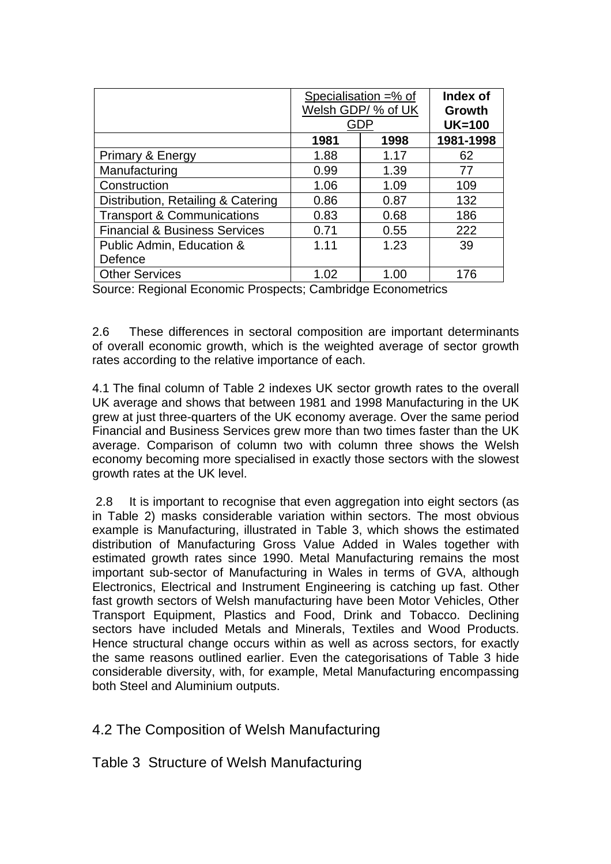|                                          | Specialisation $=$ % of<br>Welsh GDP/ % of UK<br>GDP |      | Index of<br>Growth<br>$UK=100$ |
|------------------------------------------|------------------------------------------------------|------|--------------------------------|
|                                          | 1981                                                 | 1998 | 1981-1998                      |
| Primary & Energy                         | 1.88                                                 | 1.17 | 62                             |
| Manufacturing                            | 0.99                                                 | 1.39 | 77                             |
| Construction                             | 1.06                                                 | 1.09 | 109                            |
| Distribution, Retailing & Catering       | 0.86                                                 | 0.87 | 132                            |
| <b>Transport &amp; Communications</b>    | 0.83                                                 | 0.68 | 186                            |
| <b>Financial &amp; Business Services</b> | 0.71                                                 | 0.55 | 222                            |
| Public Admin, Education &                | 1.11                                                 | 1.23 | 39                             |
| Defence                                  |                                                      |      |                                |
| <b>Other Services</b>                    | 1.02                                                 | 1.00 | 176                            |

Source: Regional Economic Prospects; Cambridge Econometrics

2.6 These differences in sectoral composition are important determinants of overall economic growth, which is the weighted average of sector growth rates according to the relative importance of each.

4.1 The final column of Table 2 indexes UK sector growth rates to the overall UK average and shows that between 1981 and 1998 Manufacturing in the UK grew at just three-quarters of the UK economy average. Over the same period Financial and Business Services grew more than two times faster than the UK average. Comparison of column two with column three shows the Welsh economy becoming more specialised in exactly those sectors with the slowest growth rates at the UK level.

 2.8 It is important to recognise that even aggregation into eight sectors (as in Table 2) masks considerable variation within sectors. The most obvious example is Manufacturing, illustrated in Table 3, which shows the estimated distribution of Manufacturing Gross Value Added in Wales together with estimated growth rates since 1990. Metal Manufacturing remains the most important sub-sector of Manufacturing in Wales in terms of GVA, although Electronics, Electrical and Instrument Engineering is catching up fast. Other fast growth sectors of Welsh manufacturing have been Motor Vehicles, Other Transport Equipment, Plastics and Food, Drink and Tobacco. Declining sectors have included Metals and Minerals, Textiles and Wood Products. Hence structural change occurs within as well as across sectors, for exactly the same reasons outlined earlier. Even the categorisations of Table 3 hide considerable diversity, with, for example, Metal Manufacturing encompassing both Steel and Aluminium outputs.

4.2 The Composition of Welsh Manufacturing

Table 3 Structure of Welsh Manufacturing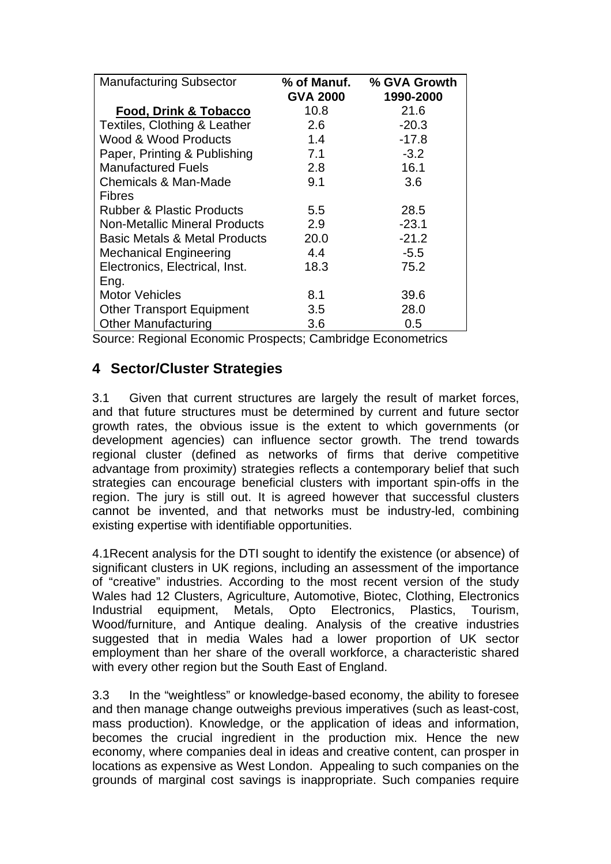| <b>Manufacturing Subsector</b>                              | % of Manuf.<br><b>GVA 2000</b> | % GVA Growth<br>1990-2000 |  |  |  |
|-------------------------------------------------------------|--------------------------------|---------------------------|--|--|--|
| Food, Drink & Tobacco                                       | 10.8                           | 21.6                      |  |  |  |
| Textiles, Clothing & Leather                                | 2.6                            | $-20.3$                   |  |  |  |
| Wood & Wood Products                                        | 1.4                            | $-17.8$                   |  |  |  |
| Paper, Printing & Publishing                                | 7.1                            | $-3.2$                    |  |  |  |
| <b>Manufactured Fuels</b>                                   | 2.8                            | 16.1                      |  |  |  |
| Chemicals & Man-Made                                        | 9.1                            | 3.6                       |  |  |  |
| <b>Fibres</b>                                               |                                |                           |  |  |  |
| <b>Rubber &amp; Plastic Products</b>                        | 5.5                            | 28.5                      |  |  |  |
| <b>Non-Metallic Mineral Products</b>                        | 2.9                            | $-23.1$                   |  |  |  |
| <b>Basic Metals &amp; Metal Products</b>                    | 20.0                           | $-21.2$                   |  |  |  |
| <b>Mechanical Engineering</b>                               | 4.4                            | $-5.5$                    |  |  |  |
| Electronics, Electrical, Inst.                              | 18.3                           | 75.2                      |  |  |  |
| Eng.                                                        |                                |                           |  |  |  |
| <b>Motor Vehicles</b>                                       | 8.1                            | 39.6                      |  |  |  |
| <b>Other Transport Equipment</b>                            | 3.5                            | 28.0                      |  |  |  |
| <b>Other Manufacturing</b>                                  | 3.6                            | 0.5                       |  |  |  |
| Source: Regional Economic Prospects; Cambridge Econometrics |                                |                           |  |  |  |

## **4 Sector/Cluster Strategies**

3.1 Given that current structures are largely the result of market forces, and that future structures must be determined by current and future sector growth rates, the obvious issue is the extent to which governments (or development agencies) can influence sector growth. The trend towards regional cluster (defined as networks of firms that derive competitive advantage from proximity) strategies reflects a contemporary belief that such strategies can encourage beneficial clusters with important spin-offs in the region. The jury is still out. It is agreed however that successful clusters cannot be invented, and that networks must be industry-led, combining existing expertise with identifiable opportunities.

4.1Recent analysis for the DTI sought to identify the existence (or absence) of significant clusters in UK regions, including an assessment of the importance of "creative" industries. According to the most recent version of the study Wales had 12 Clusters, Agriculture, Automotive, Biotec, Clothing, Electronics Industrial equipment, Metals, Opto Electronics, Plastics, Tourism, Wood/furniture, and Antique dealing. Analysis of the creative industries suggested that in media Wales had a lower proportion of UK sector employment than her share of the overall workforce, a characteristic shared with every other region but the South East of England.

3.3 In the "weightless" or knowledge-based economy, the ability to foresee and then manage change outweighs previous imperatives (such as least-cost, mass production). Knowledge, or the application of ideas and information, becomes the crucial ingredient in the production mix. Hence the new economy, where companies deal in ideas and creative content, can prosper in locations as expensive as West London. Appealing to such companies on the grounds of marginal cost savings is inappropriate. Such companies require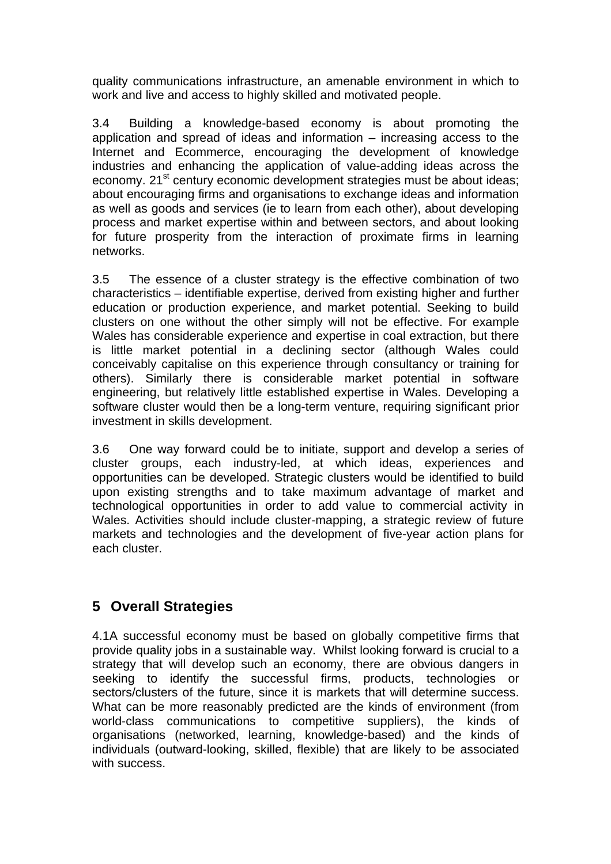quality communications infrastructure, an amenable environment in which to work and live and access to highly skilled and motivated people.

3.4 Building a knowledge-based economy is about promoting the application and spread of ideas and information – increasing access to the Internet and Ecommerce, encouraging the development of knowledge industries and enhancing the application of value-adding ideas across the economy. 21<sup>st</sup> century economic development strategies must be about ideas; about encouraging firms and organisations to exchange ideas and information as well as goods and services (ie to learn from each other), about developing process and market expertise within and between sectors, and about looking for future prosperity from the interaction of proximate firms in learning networks.

3.5 The essence of a cluster strategy is the effective combination of two characteristics – identifiable expertise, derived from existing higher and further education or production experience, and market potential. Seeking to build clusters on one without the other simply will not be effective. For example Wales has considerable experience and expertise in coal extraction, but there is little market potential in a declining sector (although Wales could conceivably capitalise on this experience through consultancy or training for others). Similarly there is considerable market potential in software engineering, but relatively little established expertise in Wales. Developing a software cluster would then be a long-term venture, requiring significant prior investment in skills development.

3.6 One way forward could be to initiate, support and develop a series of cluster groups, each industry-led, at which ideas, experiences and opportunities can be developed. Strategic clusters would be identified to build upon existing strengths and to take maximum advantage of market and technological opportunities in order to add value to commercial activity in Wales. Activities should include cluster-mapping, a strategic review of future markets and technologies and the development of five-year action plans for each cluster.

## **5 Overall Strategies**

4.1A successful economy must be based on globally competitive firms that provide quality jobs in a sustainable way. Whilst looking forward is crucial to a strategy that will develop such an economy, there are obvious dangers in seeking to identify the successful firms, products, technologies or sectors/clusters of the future, since it is markets that will determine success. What can be more reasonably predicted are the kinds of environment (from world-class communications to competitive suppliers), the kinds of organisations (networked, learning, knowledge-based) and the kinds of individuals (outward-looking, skilled, flexible) that are likely to be associated with success.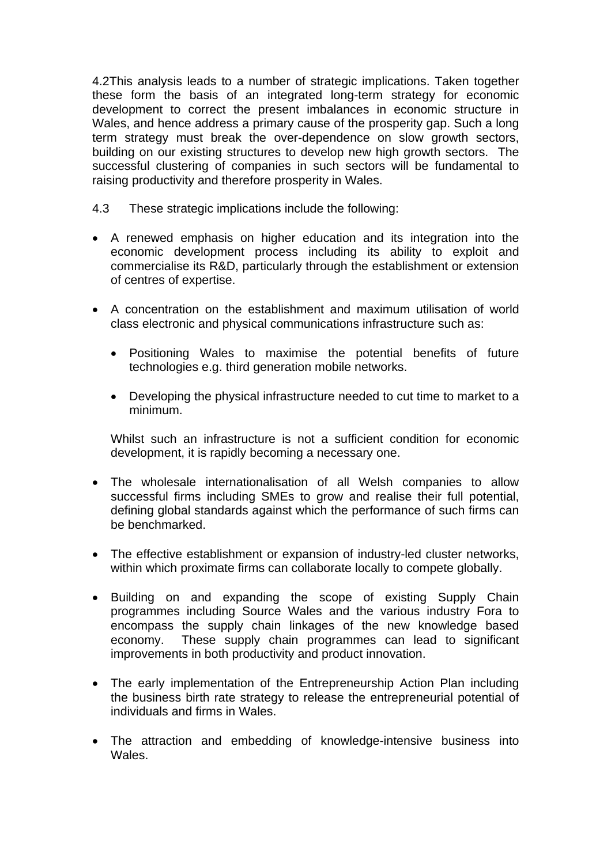4.2This analysis leads to a number of strategic implications. Taken together these form the basis of an integrated long-term strategy for economic development to correct the present imbalances in economic structure in Wales, and hence address a primary cause of the prosperity gap. Such a long term strategy must break the over-dependence on slow growth sectors, building on our existing structures to develop new high growth sectors. The successful clustering of companies in such sectors will be fundamental to raising productivity and therefore prosperity in Wales.

- 4.3 These strategic implications include the following:
- A renewed emphasis on higher education and its integration into the economic development process including its ability to exploit and commercialise its R&D, particularly through the establishment or extension of centres of expertise.
- A concentration on the establishment and maximum utilisation of world class electronic and physical communications infrastructure such as:
	- Positioning Wales to maximise the potential benefits of future technologies e.g. third generation mobile networks.
	- Developing the physical infrastructure needed to cut time to market to a minimum.

Whilst such an infrastructure is not a sufficient condition for economic development, it is rapidly becoming a necessary one.

- The wholesale internationalisation of all Welsh companies to allow successful firms including SMEs to grow and realise their full potential, defining global standards against which the performance of such firms can be benchmarked.
- The effective establishment or expansion of industry-led cluster networks, within which proximate firms can collaborate locally to compete globally.
- Building on and expanding the scope of existing Supply Chain programmes including Source Wales and the various industry Fora to encompass the supply chain linkages of the new knowledge based economy. These supply chain programmes can lead to significant improvements in both productivity and product innovation.
- The early implementation of the Entrepreneurship Action Plan including the business birth rate strategy to release the entrepreneurial potential of individuals and firms in Wales.
- The attraction and embedding of knowledge-intensive business into Wales.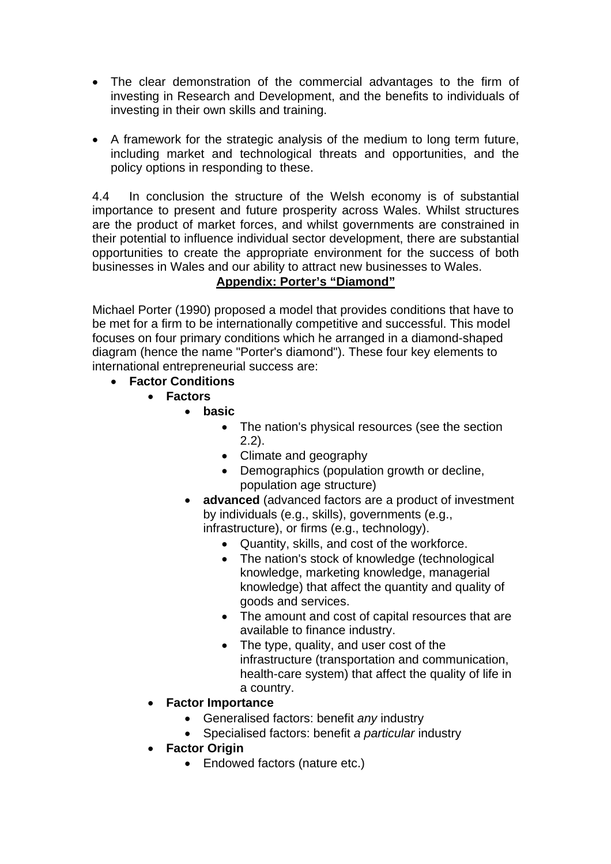- The clear demonstration of the commercial advantages to the firm of investing in Research and Development, and the benefits to individuals of investing in their own skills and training.
- A framework for the strategic analysis of the medium to long term future, including market and technological threats and opportunities, and the policy options in responding to these.

4.4 In conclusion the structure of the Welsh economy is of substantial importance to present and future prosperity across Wales. Whilst structures are the product of market forces, and whilst governments are constrained in their potential to influence individual sector development, there are substantial opportunities to create the appropriate environment for the success of both businesses in Wales and our ability to attract new businesses to Wales.

## **Appendix: Porter's "Diamond"**

Michael Porter (1990) proposed a model that provides conditions that have to be met for a firm to be internationally competitive and successful. This model focuses on four primary conditions which he arranged in a diamond-shaped diagram (hence the name "Porter's diamond"). These four key elements to international entrepreneurial success are:

- **Factor Conditions**
	- **Factors**
		- **basic**
			- The nation's physical resources (see the section 2.2).
			- Climate and geography
			- Demographics (population growth or decline, population age structure)
			- **advanced** (advanced factors are a product of investment by individuals (e.g., skills), governments (e.g., infrastructure), or firms (e.g., technology).
				- Quantity, skills, and cost of the workforce.
				- The nation's stock of knowledge (technological knowledge, marketing knowledge, managerial knowledge) that affect the quantity and quality of goods and services.
				- The amount and cost of capital resources that are available to finance industry.
				- The type, quality, and user cost of the infrastructure (transportation and communication, health-care system) that affect the quality of life in a country.
	- **Factor Importance**
		- Generalised factors: benefit *any* industry
		- Specialised factors: benefit *a particular* industry
	- **Factor Origin**
		- Endowed factors (nature etc.)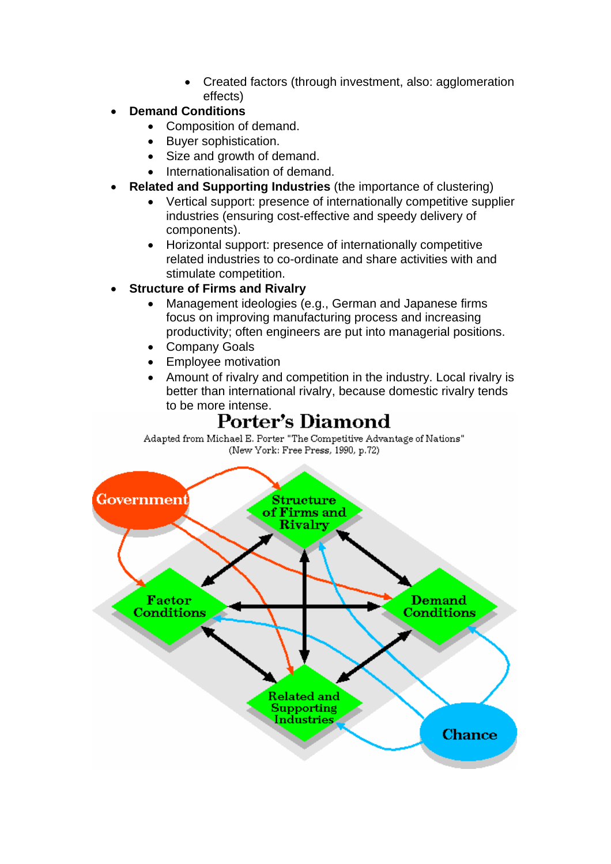- Created factors (through investment, also: agglomeration effects)
- **Demand Conditions**
	- Composition of demand.
	- Buyer sophistication.
	- Size and growth of demand.
	- Internationalisation of demand.
- **Related and Supporting Industries** (the importance of clustering)
	- Vertical support: presence of internationally competitive supplier industries (ensuring cost-effective and speedy delivery of components).
	- Horizontal support: presence of internationally competitive related industries to co-ordinate and share activities with and stimulate competition.
- **Structure of Firms and Rivalry**
	- Management ideologies (e.g., German and Japanese firms focus on improving manufacturing process and increasing productivity; often engineers are put into managerial positions.
	- Company Goals
	- Employee motivation
	- Amount of rivalry and competition in the industry. Local rivalry is better than international rivalry, because domestic rivalry tends to be more intense.

# Porter's Diamond

Adapted from Michael E. Porter "The Competitive Advantage of Nations" (New York: Free Press, 1990, p.72)